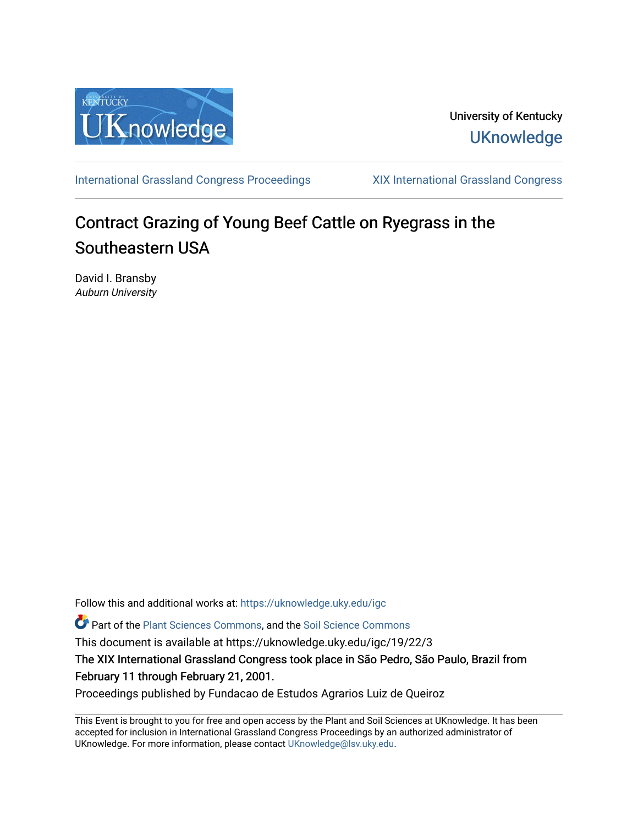

University of Kentucky **UKnowledge** 

[International Grassland Congress Proceedings](https://uknowledge.uky.edu/igc) [XIX International Grassland Congress](https://uknowledge.uky.edu/igc/19) 

# Contract Grazing of Young Beef Cattle on Ryegrass in the Southeastern USA

David I. Bransby Auburn University

Follow this and additional works at: [https://uknowledge.uky.edu/igc](https://uknowledge.uky.edu/igc?utm_source=uknowledge.uky.edu%2Figc%2F19%2F22%2F3&utm_medium=PDF&utm_campaign=PDFCoverPages) 

**C** Part of the [Plant Sciences Commons](http://network.bepress.com/hgg/discipline/102?utm_source=uknowledge.uky.edu%2Figc%2F19%2F22%2F3&utm_medium=PDF&utm_campaign=PDFCoverPages), and the Soil Science Commons

This document is available at https://uknowledge.uky.edu/igc/19/22/3

The XIX International Grassland Congress took place in São Pedro, São Paulo, Brazil from February 11 through February 21, 2001.

Proceedings published by Fundacao de Estudos Agrarios Luiz de Queiroz

This Event is brought to you for free and open access by the Plant and Soil Sciences at UKnowledge. It has been accepted for inclusion in International Grassland Congress Proceedings by an authorized administrator of UKnowledge. For more information, please contact [UKnowledge@lsv.uky.edu](mailto:UKnowledge@lsv.uky.edu).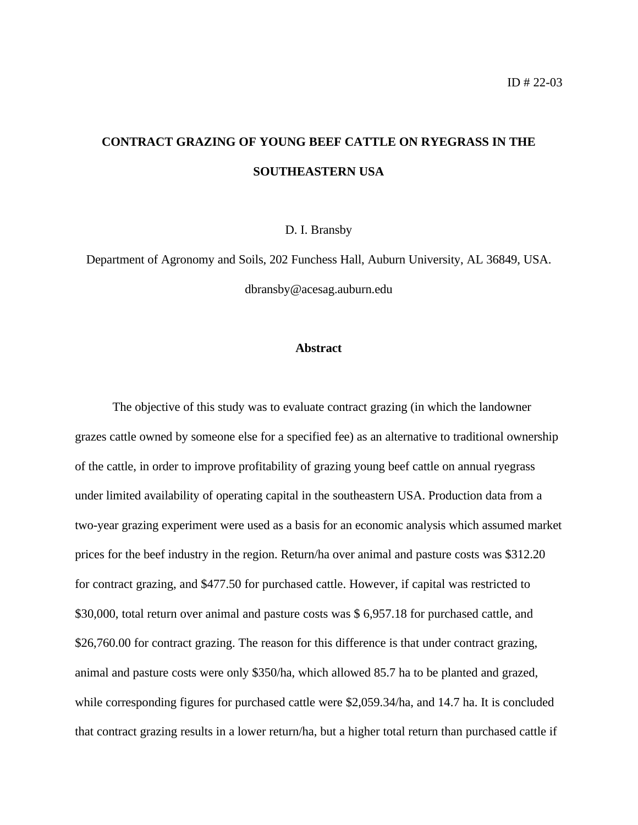## **CONTRACT GRAZING OF YOUNG BEEF CATTLE ON RYEGRASS IN THE SOUTHEASTERN USA**

D. I. Bransby

Department of Agronomy and Soils, 202 Funchess Hall, Auburn University, AL 36849, USA. dbransby@acesag.auburn.edu

### **Abstract**

The objective of this study was to evaluate contract grazing (in which the landowner grazes cattle owned by someone else for a specified fee) as an alternative to traditional ownership of the cattle, in order to improve profitability of grazing young beef cattle on annual ryegrass under limited availability of operating capital in the southeastern USA. Production data from a two-year grazing experiment were used as a basis for an economic analysis which assumed market prices for the beef industry in the region. Return/ha over animal and pasture costs was \$312.20 for contract grazing, and \$477.50 for purchased cattle. However, if capital was restricted to \$30,000, total return over animal and pasture costs was \$ 6,957.18 for purchased cattle, and \$26,760.00 for contract grazing. The reason for this difference is that under contract grazing, animal and pasture costs were only \$350/ha, which allowed 85.7 ha to be planted and grazed, while corresponding figures for purchased cattle were \$2,059.34/ha, and 14.7 ha. It is concluded that contract grazing results in a lower return/ha, but a higher total return than purchased cattle if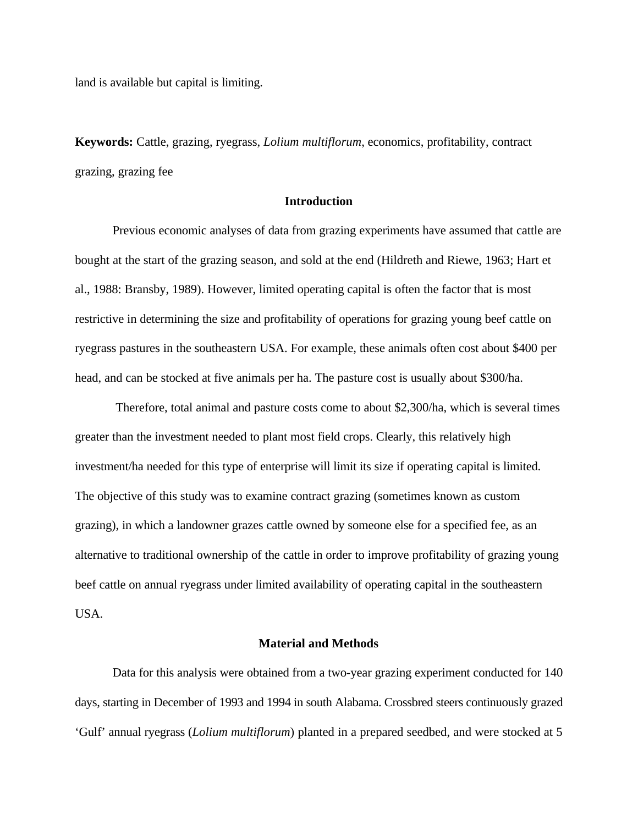land is available but capital is limiting.

**Keywords:** Cattle, grazing, ryegrass, *Lolium multiflorum*, economics, profitability, contract grazing, grazing fee

## **Introduction**

Previous economic analyses of data from grazing experiments have assumed that cattle are bought at the start of the grazing season, and sold at the end (Hildreth and Riewe, 1963; Hart et al., 1988: Bransby, 1989). However, limited operating capital is often the factor that is most restrictive in determining the size and profitability of operations for grazing young beef cattle on ryegrass pastures in the southeastern USA. For example, these animals often cost about \$400 per head, and can be stocked at five animals per ha. The pasture cost is usually about \$300/ha.

 Therefore, total animal and pasture costs come to about \$2,300/ha, which is several times greater than the investment needed to plant most field crops. Clearly, this relatively high investment/ha needed for this type of enterprise will limit its size if operating capital is limited. The objective of this study was to examine contract grazing (sometimes known as custom grazing), in which a landowner grazes cattle owned by someone else for a specified fee, as an alternative to traditional ownership of the cattle in order to improve profitability of grazing young beef cattle on annual ryegrass under limited availability of operating capital in the southeastern USA.

## **Material and Methods**

Data for this analysis were obtained from a two-year grazing experiment conducted for 140 days, starting in December of 1993 and 1994 in south Alabama. Crossbred steers continuously grazed 'Gulf' annual ryegrass (*Lolium multiflorum*) planted in a prepared seedbed, and were stocked at 5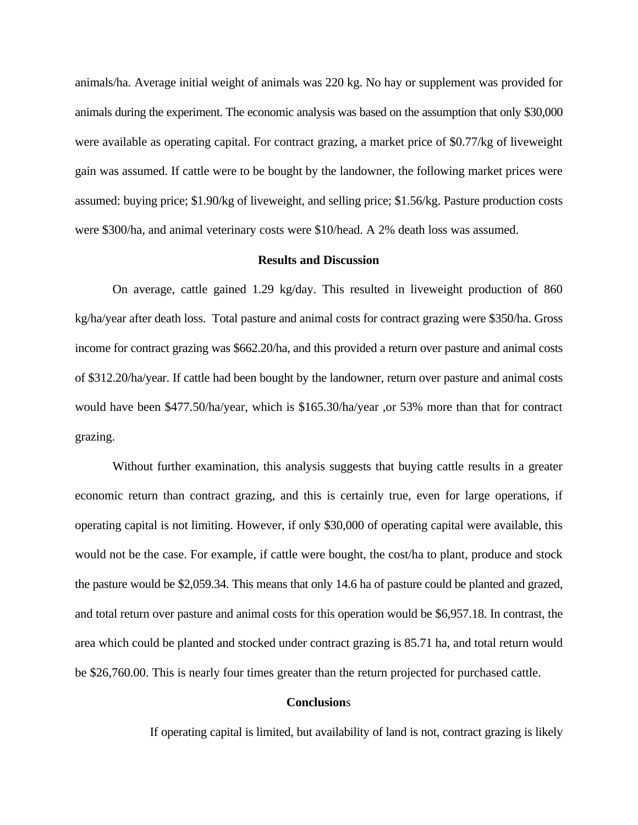animals/ha. Average initial weight of animals was 220 kg. No hay or supplement was provided for animals during the experiment. The economic analysis was based on the assumption that only \$30,000 were available as operating capital. For contract grazing, a market price of \$0.77/kg of liveweight gain was assumed. If cattle were to be bought by the landowner, the following market prices were assumed: buying price; \$1.90/kg of liveweight, and selling price; \$1.56/kg. Pasture production costs were \$300/ha, and animal veterinary costs were \$10/head. A 2% death loss was assumed.

## **Results and Discussion**

On average, cattle gained 1.29 kg/day. This resulted in liveweight production of 860 kg/ha/year after death loss. Total pasture and animal costs for contract grazing were \$350/ha. Gross income for contract grazing was \$662.20/ha, and this provided a return over pasture and animal costs of \$312.20/ha/year. If cattle had been bought by the landowner, return over pasture and animal costs would have been \$477.50/ha/year, which is \$165.30/ha/year ,or 53% more than that for contract grazing.

Without further examination, this analysis suggests that buying cattle results in a greater economic return than contract grazing, and this is certainly true, even for large operations, if operating capital is not limiting. However, if only \$30,000 of operating capital were available, this would not be the case. For example, if cattle were bought, the cost/ha to plant, produce and stock the pasture would be \$2,059.34. This means that only 14.6 ha of pasture could be planted and grazed, and total return over pasture and animal costs for this operation would be \$6,957.18. In contrast, the area which could be planted and stocked under contract grazing is 85.71 ha, and total return would be \$26,760.00. This is nearly four times greater than the return projected for purchased cattle.

## **Conclusion**s

If operating capital is limited, but availability of land is not, contract grazing is likely